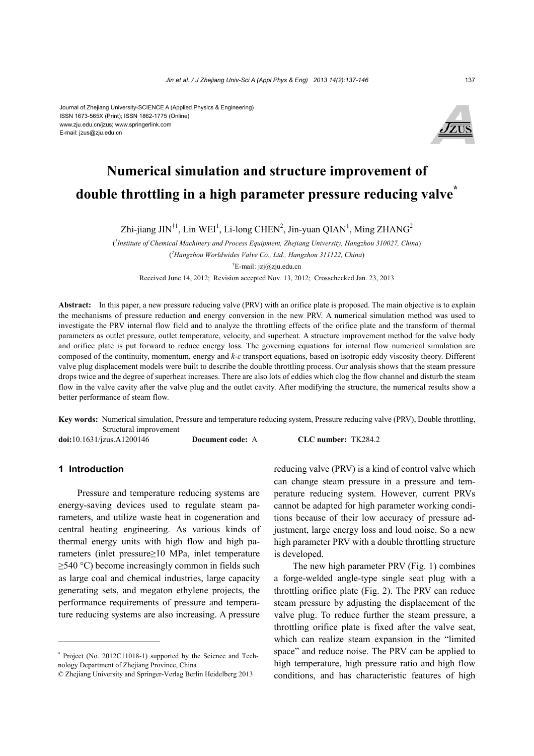#### Journal of Zhejiang University-SCIENCE A (Applied Physics & Engineering) ISSN 1673-565X (Print); ISSN 1862-1775 (Online) www.zju.edu.cn/jzus; www.springerlink.com E-mail: jzus@zju.edu.cn



# **Numerical simulation and structure improvement of double throttling in a high parameter pressure reducing valve\***

Zhi-jiang JIN<sup>†1</sup>, Lin WEI<sup>1</sup>, Li-long CHEN<sup>2</sup>, Jin-yuan QIAN<sup>1</sup>, Ming ZHANG<sup>2</sup>

( *1 Institute of Chemical Machinery and Process Equipment, Zhejiang University, Hangzhou 310027, China*) ( *2 Hangzhou Worldwides Valve Co., Ltd., Hangzhou 311122, China*) † E-mail: jzj@zju.edu.cn Received June 14, 2012; Revision accepted Nov. 13, 2012; Crosschecked Jan. 23, 2013

**Abstract:** In this paper, a new pressure reducing valve (PRV) with an orifice plate is proposed. The main objective is to explain the mechanisms of pressure reduction and energy conversion in the new PRV. A numerical simulation method was used to investigate the PRV internal flow field and to analyze the throttling effects of the orifice plate and the transform of thermal parameters as outlet pressure, outlet temperature, velocity, and superheat. A structure improvement method for the valve body and orifice plate is put forward to reduce energy loss. The governing equations for internal flow numerical simulation are composed of the continuity, momentum, energy and *k*-*ε* transport equations, based on isotropic eddy viscosity theory. Different valve plug displacement models were built to describe the double throttling process. Our analysis shows that the steam pressure drops twice and the degree of superheat increases. There are also lots of eddies which clog the flow channel and disturb the steam flow in the valve cavity after the valve plug and the outlet cavity. After modifying the structure, the numerical results show a better performance of steam flow.

**Key words:** Numerical simulation, Pressure and temperature reducing system, Pressure reducing valve (PRV), Double throttling, Structural improvement

**doi:**10.1631/jzus.A1200146 **Document code:** A **CLC number:** TK284.2

# **1 Introduction**

Pressure and temperature reducing systems are energy-saving devices used to regulate steam parameters, and utilize waste heat in cogeneration and central heating engineering. As various kinds of thermal energy units with high flow and high parameters (inlet pressure≥10 MPa, inlet temperature ≥540 °C) become increasingly common in fields such as large coal and chemical industries, large capacity generating sets, and megaton ethylene projects, the performance requirements of pressure and temperature reducing systems are also increasing. A pressure reducing valve (PRV) is a kind of control valve which can change steam pressure in a pressure and temperature reducing system. However, current PRVs cannot be adapted for high parameter working conditions because of their low accuracy of pressure adjustment, large energy loss and loud noise. So a new high parameter PRV with a double throttling structure is developed.

The new high parameter PRV (Fig. 1) combines a forge-welded angle-type single seat plug with a throttling orifice plate (Fig. 2). The PRV can reduce steam pressure by adjusting the displacement of the valve plug. To reduce further the steam pressure, a throttling orifice plate is fixed after the valve seat, which can realize steam expansion in the "limited space" and reduce noise. The PRV can be applied to high temperature, high pressure ratio and high flow conditions, and has characteristic features of high

<sup>\*</sup> Project (No. 2012C11018-1) supported by the Science and Technology Department of Zhejiang Province, China

<sup>©</sup> Zhejiang University and Springer-Verlag Berlin Heidelberg 2013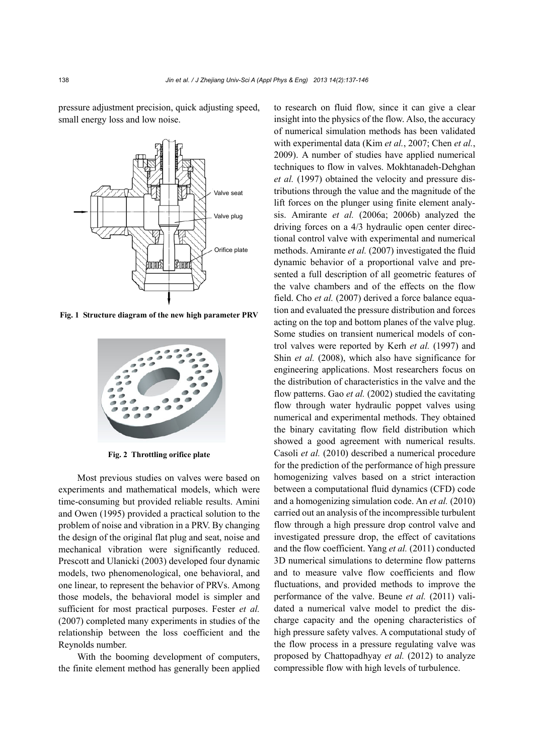pressure adjustment precision, quick adjusting speed, small energy loss and low noise.



**Fig. 1 Structure diagram of the new high parameter PRV**



**Fig. 2 Throttling orifice plate**

Most previous studies on valves were based on experiments and mathematical models, which were time-consuming but provided reliable results. Amini and Owen (1995) provided a practical solution to the problem of noise and vibration in a PRV. By changing the design of the original flat plug and seat, noise and mechanical vibration were significantly reduced. Prescott and Ulanicki (2003) developed four dynamic models, two phenomenological, one behavioral, and one linear, to represent the behavior of PRVs. Among those models, the behavioral model is simpler and sufficient for most practical purposes. Fester *et al.* (2007) completed many experiments in studies of the relationship between the loss coefficient and the Reynolds number.

With the booming development of computers, the finite element method has generally been applied to research on fluid flow, since it can give a clear insight into the physics of the flow. Also, the accuracy of numerical simulation methods has been validated with experimental data (Kim *et al.*, 2007; Chen *et al.*, 2009). A number of studies have applied numerical techniques to flow in valves. Mokhtanadeh-Dehghan *et al.* (1997) obtained the velocity and pressure distributions through the value and the magnitude of the lift forces on the plunger using finite element analysis. Amirante *et al.* (2006a; 2006b) analyzed the driving forces on a 4/3 hydraulic open center directional control valve with experimental and numerical methods. Amirante *et al.* (2007) investigated the fluid dynamic behavior of a proportional valve and presented a full description of all geometric features of the valve chambers and of the effects on the flow field. Cho *et al.* (2007) derived a force balance equation and evaluated the pressure distribution and forces acting on the top and bottom planes of the valve plug. Some studies on transient numerical models of control valves were reported by Kerh *et al.* (1997) and Shin *et al.* (2008), which also have significance for engineering applications. Most researchers focus on the distribution of characteristics in the valve and the flow patterns. Gao *et al.* (2002) studied the cavitating flow through water hydraulic poppet valves using numerical and experimental methods. They obtained the binary cavitating flow field distribution which showed a good agreement with numerical results. Casoli *et al.* (2010) described a numerical procedure for the prediction of the performance of high pressure homogenizing valves based on a strict interaction between a computational fluid dynamics (CFD) code and a homogenizing simulation code. An *et al.* (2010) carried out an analysis of the incompressible turbulent flow through a high pressure drop control valve and investigated pressure drop, the effect of cavitations and the flow coefficient. Yang *et al.* (2011) conducted 3D numerical simulations to determine flow patterns and to measure valve flow coefficients and flow fluctuations, and provided methods to improve the performance of the valve. Beune *et al.* (2011) validated a numerical valve model to predict the discharge capacity and the opening characteristics of high pressure safety valves. A computational study of the flow process in a pressure regulating valve was proposed by Chattopadhyay *et al.* (2012) to analyze compressible flow with high levels of turbulence.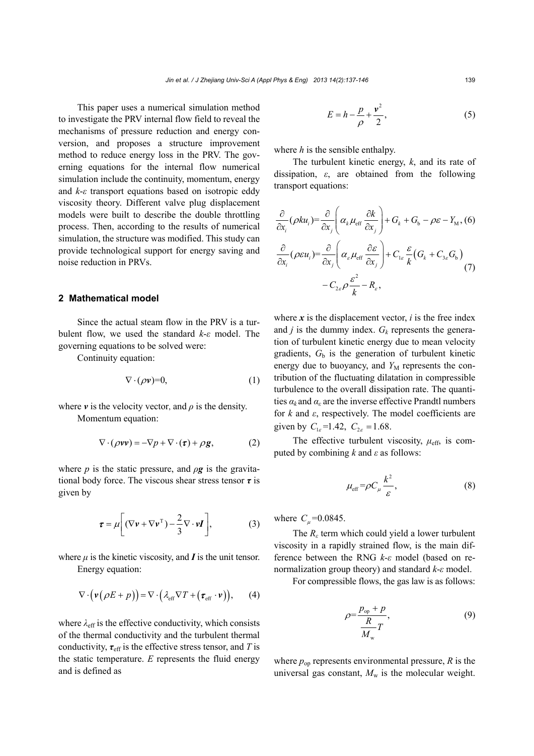This paper uses a numerical simulation method to investigate the PRV internal flow field to reveal the mechanisms of pressure reduction and energy conversion, and proposes a structure improvement method to reduce energy loss in the PRV. The governing equations for the internal flow numerical simulation include the continuity, momentum, energy and *k*-*ε* transport equations based on isotropic eddy viscosity theory. Different valve plug displacement models were built to describe the double throttling process. Then, according to the results of numerical simulation, the structure was modified. This study can provide technological support for energy saving and noise reduction in PRVs.

#### **2 Mathematical model**

Since the actual steam flow in the PRV is a turbulent flow, we used the standard *k*-*ε* model. The governing equations to be solved were:

Continuity equation:

$$
\nabla \cdot (\rho \mathbf{v}) = 0,\tag{1}
$$

where  $\nu$  is the velocity vector, and  $\rho$  is the density.

Momentum equation:

$$
\nabla \cdot (\rho v v) = -\nabla p + \nabla \cdot (\tau) + \rho g, \qquad (2)
$$

where *p* is the static pressure, and  $\rho g$  is the gravitational body force. The viscous shear stress tensor *τ* is given by

$$
\boldsymbol{\tau} = \mu \left[ (\nabla \boldsymbol{v} + \nabla \boldsymbol{v}^{\mathrm{T}}) - \frac{2}{3} \nabla \cdot \boldsymbol{v} \boldsymbol{I} \right],\tag{3}
$$

where  $\mu$  is the kinetic viscosity, and  $\vec{I}$  is the unit tensor. Energy equation:

$$
\nabla \cdot (\nu (\rho E + p)) = \nabla \cdot (\lambda_{\text{eff}} \nabla T + (\tau_{\text{eff}} \cdot \nu)), \qquad (4)
$$

where  $λ$ <sub>eff</sub> is the effective conductivity, which consists of the thermal conductivity and the turbulent thermal conductivity,  $\tau_{\text{eff}}$  is the effective stress tensor, and *T* is the static temperature. *E* represents the fluid energy and is defined as

$$
E = h - \frac{p}{\rho} + \frac{v^2}{2},\tag{5}
$$

where *h* is the sensible enthalpy.

The turbulent kinetic energy, *k*, and its rate of dissipation, *ε*, are obtained from the following transport equations:

$$
\frac{\partial}{\partial x_i}(\rho k u_i) = \frac{\partial}{\partial x_j} \left( \alpha_k \mu_{\text{eff}} \frac{\partial k}{\partial x_j} \right) + G_k + G_b - \rho \varepsilon - Y_M, (6)
$$
\n
$$
\frac{\partial}{\partial x_i} (\rho \varepsilon u_i) = \frac{\partial}{\partial x_j} \left( \alpha_{\varepsilon} \mu_{\text{eff}} \frac{\partial \varepsilon}{\partial x_j} \right) + C_{1\varepsilon} \frac{\varepsilon}{k} \left( G_k + C_{3\varepsilon} G_b \right) - C_{2\varepsilon} \rho \frac{\varepsilon^2}{k} - R_{\varepsilon}, \tag{7}
$$

where  $x$  is the displacement vector,  $i$  is the free index and  $j$  is the dummy index.  $G_k$  represents the generation of turbulent kinetic energy due to mean velocity gradients, *G*b is the generation of turbulent kinetic energy due to buoyancy, and  $Y_M$  represents the contribution of the fluctuating dilatation in compressible turbulence to the overall dissipation rate. The quantities  $\alpha_k$  and  $\alpha_\varepsilon$  are the inverse effective Prandtl numbers for *k* and *ε*, respectively. The model coefficients are given by  $C_{1s} = 1.42$ ,  $C_{2s} = 1.68$ .

The effective turbulent viscosity,  $\mu_{\text{eff}}$ , is computed by combining *k* and *ε* as follows:

$$
\mu_{\text{eff}} = \rho C_{\mu} \frac{k^2}{\varepsilon},\tag{8}
$$

where  $C_{\mu}$ =0.0845.

The *Rε* term which could yield a lower turbulent viscosity in a rapidly strained flow, is the main difference between the RNG *k*-*ε* model (based on renormalization group theory) and standard *k*-*ε* model.

For compressible flows, the gas law is as follows:

$$
\rho = \frac{p_{\rm op} + p}{\frac{R}{M_{\rm w}}}.
$$
\n(9)

where  $p_{op}$  represents environmental pressure,  $R$  is the universal gas constant,  $M_w$  is the molecular weight.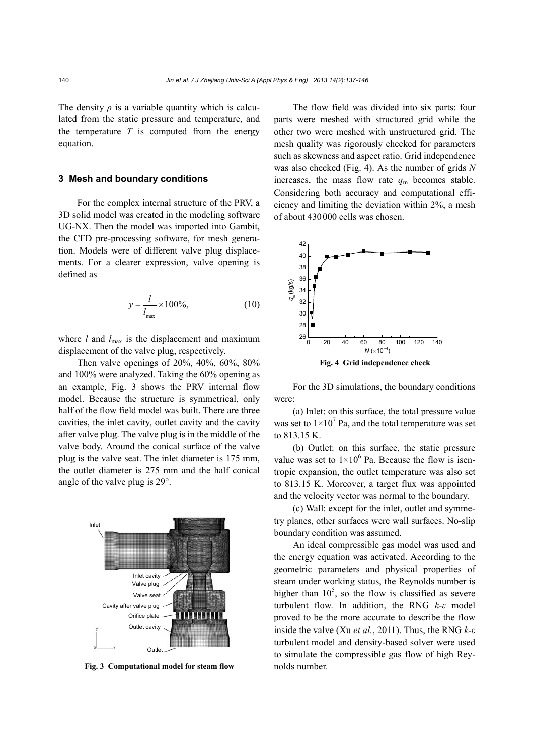The density  $\rho$  is a variable quantity which is calculated from the static pressure and temperature, and the temperature  $T$  is computed from the energy equation.

### **3 Mesh and boundary conditions**

For the complex internal structure of the PRV, a 3D solid model was created in the modeling software UG-NX. Then the model was imported into Gambit, the CFD pre-processing software, for mesh generation. Models were of different valve plug displacements. For a clearer expression, valve opening is defined as

$$
y = \frac{l}{l_{\text{max}}} \times 100\%,\tag{10}
$$

where  $l$  and  $l_{\text{max}}$  is the displacement and maximum displacement of the valve plug, respectively.

Then valve openings of 20%, 40%, 60%, 80% and 100% were analyzed. Taking the 60% opening as an example, Fig. 3 shows the PRV internal flow model. Because the structure is symmetrical, only half of the flow field model was built. There are three cavities, the inlet cavity, outlet cavity and the cavity after valve plug. The valve plug is in the middle of the valve body. Around the conical surface of the valve plug is the valve seat. The inlet diameter is 175 mm, the outlet diameter is 275 mm and the half conical angle of the valve plug is 29°.



**Fig. 3 Computational model for steam flow**

The flow field was divided into six parts: four parts were meshed with structured grid while the other two were meshed with unstructured grid. The mesh quality was rigorously checked for parameters such as skewness and aspect ratio. Grid independence was also checked (Fig. 4). As the number of grids *N* increases, the mass flow rate  $q_m$  becomes stable. Considering both accuracy and computational efficiency and limiting the deviation within 2%, a mesh of about 430000 cells was chosen.



For the 3D simulations, the boundary conditions were:

(a) Inlet: on this surface, the total pressure value was set to  $1 \times 10^7$  Pa, and the total temperature was set to 813.15 K.

(b) Outlet: on this surface, the static pressure value was set to  $1 \times 10^6$  Pa. Because the flow is isentropic expansion, the outlet temperature was also set to 813.15 K. Moreover, a target flux was appointed and the velocity vector was normal to the boundary.

(c) Wall: except for the inlet, outlet and symmetry planes, other surfaces were wall surfaces. No-slip boundary condition was assumed.

An ideal compressible gas model was used and the energy equation was activated. According to the geometric parameters and physical properties of steam under working status, the Reynolds number is higher than  $10^5$ , so the flow is classified as severe turbulent flow. In addition, the RNG *k*-*ε* model proved to be the more accurate to describe the flow inside the valve (Xu *et al.*, 2011). Thus, the RNG *k-ε* turbulent model and density-based solver were used to simulate the compressible gas flow of high Reynolds number.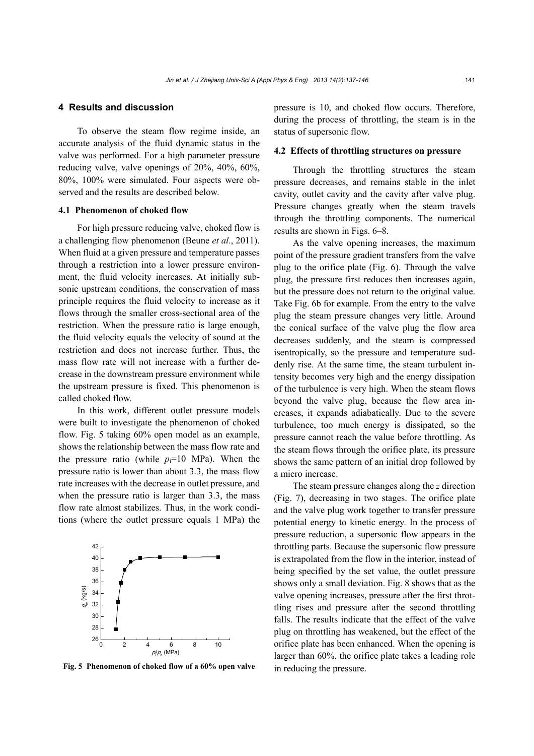#### **4 Results and discussion**

To observe the steam flow regime inside, an accurate analysis of the fluid dynamic status in the valve was performed. For a high parameter pressure reducing valve, valve openings of 20%, 40%, 60%, 80%, 100% were simulated. Four aspects were observed and the results are described below.

# **4.1 Phenomenon of choked flow**

For high pressure reducing valve, choked flow is a challenging flow phenomenon (Beune *et al.*, 2011). When fluid at a given pressure and temperature passes through a restriction into a lower pressure environment, the fluid velocity increases. At initially subsonic upstream conditions, the conservation of mass principle requires the fluid velocity to increase as it flows through the smaller cross-sectional area of the restriction. When the pressure ratio is large enough, the fluid velocity equals the velocity of sound at the restriction and does not increase further. Thus, the mass flow rate will not increase with a further decrease in the downstream pressure environment while the upstream pressure is fixed. This phenomenon is called choked flow.

In this work, different outlet pressure models were built to investigate the phenomenon of choked flow. Fig. 5 taking 60% open model as an example, shows the relationship between the mass flow rate and the pressure ratio (while  $p_i=10$  MPa). When the pressure ratio is lower than about 3.3, the mass flow rate increases with the decrease in outlet pressure, and when the pressure ratio is larger than 3.3, the mass flow rate almost stabilizes. Thus, in the work conditions (where the outlet pressure equals 1 MPa) the



**Fig. 5 Phenomenon of choked flow of a 60% open valve**

pressure is 10, and choked flow occurs. Therefore, during the process of throttling, the steam is in the status of supersonic flow.

## **4.2 Effects of throttling structures on pressure**

Through the throttling structures the steam pressure decreases, and remains stable in the inlet cavity, outlet cavity and the cavity after valve plug. Pressure changes greatly when the steam travels through the throttling components. The numerical results are shown in Figs. 6–8.

As the valve opening increases, the maximum point of the pressure gradient transfers from the valve plug to the orifice plate (Fig. 6). Through the valve plug, the pressure first reduces then increases again, but the pressure does not return to the original value. Take Fig. 6b for example. From the entry to the valve plug the steam pressure changes very little. Around the conical surface of the valve plug the flow area decreases suddenly, and the steam is compressed isentropically, so the pressure and temperature suddenly rise. At the same time, the steam turbulent intensity becomes very high and the energy dissipation of the turbulence is very high. When the steam flows beyond the valve plug, because the flow area increases, it expands adiabatically. Due to the severe turbulence, too much energy is dissipated, so the pressure cannot reach the value before throttling. As the steam flows through the orifice plate, its pressure shows the same pattern of an initial drop followed by a micro increase.

The steam pressure changes along the *z* direction (Fig. 7), decreasing in two stages. The orifice plate and the valve plug work together to transfer pressure potential energy to kinetic energy. In the process of pressure reduction, a supersonic flow appears in the throttling parts. Because the supersonic flow pressure is extrapolated from the flow in the interior, instead of being specified by the set value, the outlet pressure shows only a small deviation. Fig. 8 shows that as the valve opening increases, pressure after the first throttling rises and pressure after the second throttling falls. The results indicate that the effect of the valve plug on throttling has weakened, but the effect of the orifice plate has been enhanced. When the opening is larger than 60%, the orifice plate takes a leading role in reducing the pressure.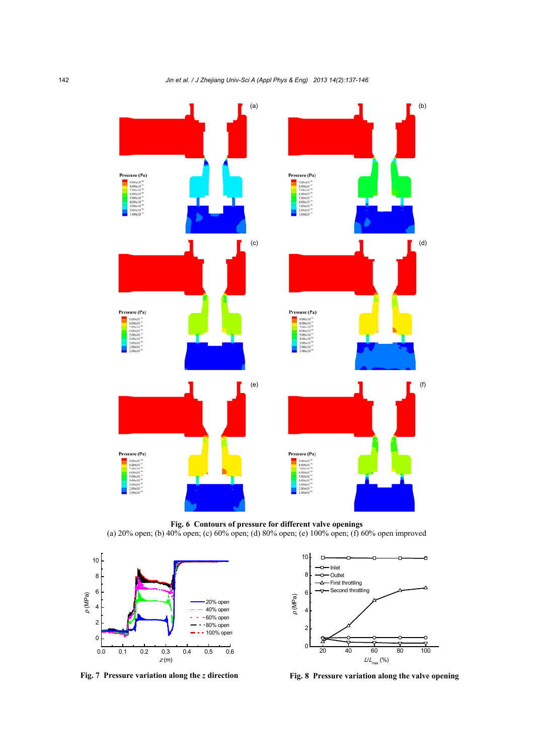

**Fig. 6 Contours of pressure for different valve openings**  (a) 20% open; (b) 40% open; (c) 60% open; (d) 80% open; (e) 100% open; (f) 60% open improved



10  $\mathbf{D}$ o  $-D$ -Inlet  $O$  Outlet 8 First throttling Second throttling  $\rho$  (MPa) 6 4 2 ₹  $\mathfrak{o}$ 20 40 60 80 100  $\mu_{\rm max}$  (%)

**Fig. 7 Pressure variation along the** *z* **direction**

**Fig. 8 Pressure variation along the valve opening**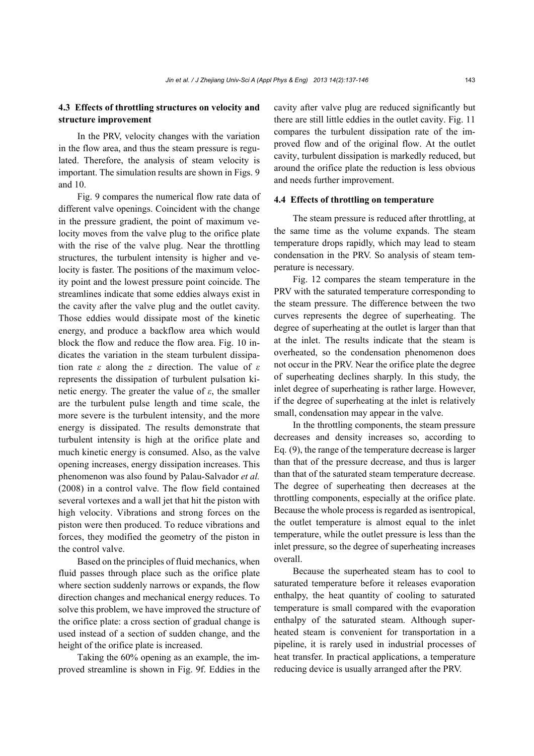# **4.3 Effects of throttling structures on velocity and structure improvement**

In the PRV, velocity changes with the variation in the flow area, and thus the steam pressure is regulated. Therefore, the analysis of steam velocity is important. The simulation results are shown in Figs. 9 and 10.

Fig. 9 compares the numerical flow rate data of different valve openings. Coincident with the change in the pressure gradient, the point of maximum velocity moves from the valve plug to the orifice plate with the rise of the valve plug. Near the throttling structures, the turbulent intensity is higher and velocity is faster. The positions of the maximum velocity point and the lowest pressure point coincide. The streamlines indicate that some eddies always exist in the cavity after the valve plug and the outlet cavity. Those eddies would dissipate most of the kinetic energy, and produce a backflow area which would block the flow and reduce the flow area. Fig. 10 indicates the variation in the steam turbulent dissipation rate *ε* along the *z* direction. The value of *ε* represents the dissipation of turbulent pulsation kinetic energy. The greater the value of *ε*, the smaller are the turbulent pulse length and time scale, the more severe is the turbulent intensity, and the more energy is dissipated. The results demonstrate that turbulent intensity is high at the orifice plate and much kinetic energy is consumed. Also, as the valve opening increases, energy dissipation increases. This phenomenon was also found by Palau-Salvador *et al.* (2008) in a control valve. The flow field contained several vortexes and a wall jet that hit the piston with high velocity. Vibrations and strong forces on the piston were then produced. To reduce vibrations and forces, they modified the geometry of the piston in the control valve.

Based on the principles of fluid mechanics, when fluid passes through place such as the orifice plate where section suddenly narrows or expands, the flow direction changes and mechanical energy reduces. To solve this problem, we have improved the structure of the orifice plate: a cross section of gradual change is used instead of a section of sudden change, and the height of the orifice plate is increased.

Taking the 60% opening as an example, the improved streamline is shown in Fig. 9f. Eddies in the cavity after valve plug are reduced significantly but there are still little eddies in the outlet cavity. Fig. 11 compares the turbulent dissipation rate of the improved flow and of the original flow. At the outlet cavity, turbulent dissipation is markedly reduced, but around the orifice plate the reduction is less obvious and needs further improvement.

#### **4.4 Effects of throttling on temperature**

The steam pressure is reduced after throttling, at the same time as the volume expands. The steam temperature drops rapidly, which may lead to steam condensation in the PRV. So analysis of steam temperature is necessary.

Fig. 12 compares the steam temperature in the PRV with the saturated temperature corresponding to the steam pressure. The difference between the two curves represents the degree of superheating. The degree of superheating at the outlet is larger than that at the inlet. The results indicate that the steam is overheated, so the condensation phenomenon does not occur in the PRV. Near the orifice plate the degree of superheating declines sharply. In this study, the inlet degree of superheating is rather large. However, if the degree of superheating at the inlet is relatively small, condensation may appear in the valve.

In the throttling components, the steam pressure decreases and density increases so, according to Eq. (9), the range of the temperature decrease is larger than that of the pressure decrease, and thus is larger than that of the saturated steam temperature decrease. The degree of superheating then decreases at the throttling components, especially at the orifice plate. Because the whole process is regarded as isentropical, the outlet temperature is almost equal to the inlet temperature, while the outlet pressure is less than the inlet pressure, so the degree of superheating increases overall.

Because the superheated steam has to cool to saturated temperature before it releases evaporation enthalpy, the heat quantity of cooling to saturated temperature is small compared with the evaporation enthalpy of the saturated steam. Although superheated steam is convenient for transportation in a pipeline, it is rarely used in industrial processes of heat transfer. In practical applications, a temperature reducing device is usually arranged after the PRV.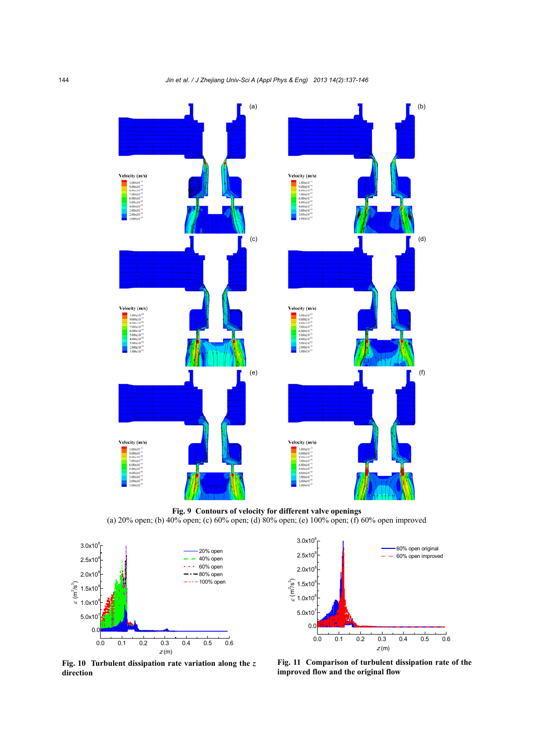

**Fig. 9 Contours of velocity for different valve openings**  (a) 20% open; (b) 40% open; (c) 60% open; (d) 80% open; (e) 100% open; (f) 60% open improved





**Fig. 10 Turbulent dissipation rate variation along the** *z* **direction**

**Fig. 11 Comparison of turbulent dissipation rate of the improved flow and the original flow**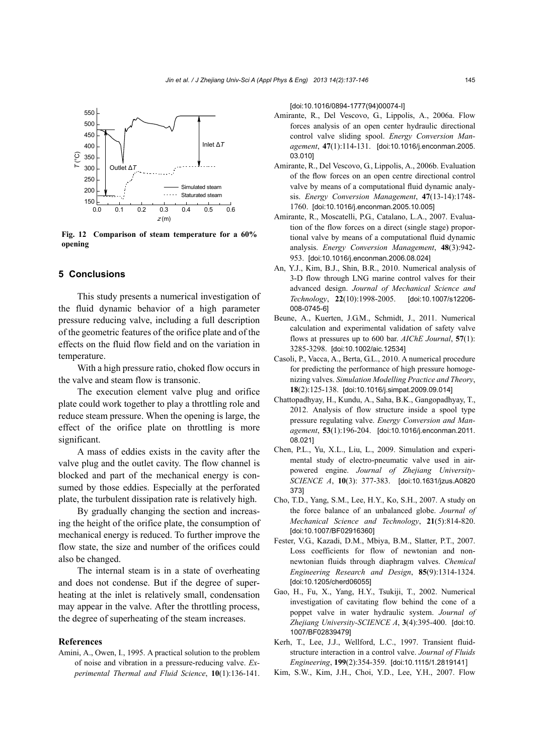

**Fig. 12 Comparison of steam temperature for a 60% opening**

# **5 Conclusions**

This study presents a numerical investigation of the fluid dynamic behavior of a high parameter pressure reducing valve, including a full description of the geometric features of the orifice plate and of the effects on the fluid flow field and on the variation in temperature.

With a high pressure ratio, choked flow occurs in the valve and steam flow is transonic.

The execution element valve plug and orifice plate could work together to play a throttling role and reduce steam pressure. When the opening is large, the effect of the orifice plate on throttling is more significant.

A mass of eddies exists in the cavity after the valve plug and the outlet cavity. The flow channel is blocked and part of the mechanical energy is consumed by those eddies. Especially at the perforated plate, the turbulent dissipation rate is relatively high.

By gradually changing the section and increasing the height of the orifice plate, the consumption of mechanical energy is reduced. To further improve the flow state, the size and number of the orifices could also be changed.

The internal steam is in a state of overheating and does not condense. But if the degree of superheating at the inlet is relatively small, condensation may appear in the valve. After the throttling process, the degree of superheating of the steam increases.

#### **References**

Amini, A., Owen, I., 1995. A practical solution to the problem of noise and vibration in a pressure-reducing valve. *Experimental Thermal and Fluid Science*, **10**(1):136-141.

[doi:10.1016/0894-1777(94)00074-I]

- Amirante, R., Del Vescovo, G., Lippolis, A., 2006a. Flow forces analysis of an open center hydraulic directional control valve sliding spool. *Energy Conversion Management*, **47**(1):114-131. [doi:10.1016/j.enconman.2005. 03.010]
- Amirante, R., Del Vescovo, G., Lippolis, A., 2006b. Evaluation of the flow forces on an open centre directional control valve by means of a computational fluid dynamic analysis. *Energy Conversion Management*, **47**(13-14):1748- 1760. [doi:10.1016/j.enconman.2005.10.005]
- Amirante, R., Moscatelli, P.G., Catalano, L.A., 2007. Evaluation of the flow forces on a direct (single stage) proportional valve by means of a computational fluid dynamic analysis. *Energy Conversion Management*, **48**(3):942- 953. [doi:10.1016/j.enconman.2006.08.024]
- An, Y.J., Kim, B.J., Shin, B.R., 2010. Numerical analysis of 3-D flow through LNG marine control valves for their advanced design. *Journal of Mechanical Science and Technology*, **22**(10):1998-2005. [doi:10.1007/s12206- 008-0745-6]
- Beune, A., Kuerten, J.G.M., Schmidt, J., 2011. Numerical calculation and experimental validation of safety valve flows at pressures up to 600 bar. *AIChE Journal*, **57**(1): 3285-3298. [doi:10.1002/aic.12534]
- Casoli, P., Vacca, A., Berta, G.L., 2010. A numerical procedure for predicting the performance of high pressure homogenizing valves. *Simulation Modelling Practice and Theory*, **18**(2):125-138. [doi:10.1016/j.simpat.2009.09.014]
- Chattopadhyay, H., Kundu, A., Saha, B.K., Gangopadhyay, T., 2012. Analysis of flow structure inside a spool type pressure regulating valve. *Energy Conversion and Management*, **53**(1):196-204. [doi:10.1016/j.enconman.2011. 08.021]
- Chen, P.L., Yu, X.L., Liu, L., 2009. Simulation and experimental study of electro-pneumatic valve used in airpowered engine. *Journal of Zhejiang University-SCIENCE A*, **10**(3): 377-383. [doi:10.1631/jzus.A0820 373]
- Cho, T.D., Yang, S.M., Lee, H.Y., Ko, S.H., 2007. A study on the force balance of an unbalanced globe. *Journal of Mechanical Science and Technology*, **21**(5):814-820. [doi:10.1007/BF02916360]
- Fester, V.G., Kazadi, D.M., Mbiya, B.M., Slatter, P.T., 2007. Loss coefficients for flow of newtonian and nonnewtonian fluids through diaphragm valves. *Chemical Engineering Research and Design*, **85**(9):1314-1324. [doi:10.1205/cherd06055]
- Gao, H., Fu, X., Yang, H.Y., Tsukiji, T., 2002. Numerical investigation of cavitating flow behind the cone of a poppet valve in water hydraulic system. *Journal of Zhejiang University-SCIENCE A*, **3**(4):395-400. [doi:10. 1007/BF02839479]
- Kerh, T., Lee, J.J., Wellford, L.C., 1997. Transient fluidstructure interaction in a control valve. *Journal of Fluids Engineering*, **199**(2):354-359. [doi:10.1115/1.2819141]
- Kim, S.W., Kim, J.H., Choi, Y.D., Lee, Y.H., 2007. Flow